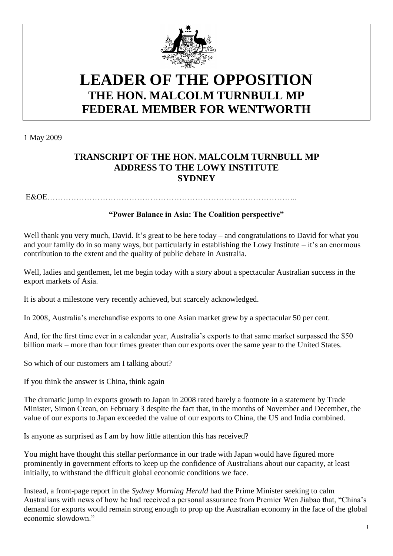

## **LEADER OF THE OPPOSITION THE HON. MALCOLM TURNBULL MP FEDERAL MEMBER FOR WENTWORTH**

1 May 2009

## **TRANSCRIPT OF THE HON. MALCOLM TURNBULL MP ADDRESS TO THE LOWY INSTITUTE SYDNEY**

E&OE…………………………………………………………………………………..

## **"Power Balance in Asia: The Coalition perspective"**

Well thank you very much, David. It's great to be here today – and congratulations to David for what you and your family do in so many ways, but particularly in establishing the Lowy Institute  $-$  it's an enormous contribution to the extent and the quality of public debate in Australia.

Well, ladies and gentlemen, let me begin today with a story about a spectacular Australian success in the export markets of Asia.

It is about a milestone very recently achieved, but scarcely acknowledged.

In 2008, Australia's merchandise exports to one Asian market grew by a spectacular 50 per cent.

And, for the first time ever in a calendar year, Australia's exports to that same market surpassed the \$50 billion mark – more than four times greater than our exports over the same year to the United States.

So which of our customers am I talking about?

If you think the answer is China, think again

The dramatic jump in exports growth to Japan in 2008 rated barely a footnote in a statement by Trade Minister, Simon Crean, on February 3 despite the fact that, in the months of November and December, the value of our exports to Japan exceeded the value of our exports to China, the US and India combined.

Is anyone as surprised as I am by how little attention this has received?

You might have thought this stellar performance in our trade with Japan would have figured more prominently in government efforts to keep up the confidence of Australians about our capacity, at least initially, to withstand the difficult global economic conditions we face.

Instead, a front-page report in the *Sydney Morning Herald* had the Prime Minister seeking to calm Australians with news of how he had received a personal assurance from Premier Wen Jiabao that, "China's demand for exports would remain strong enough to prop up the Australian economy in the face of the global economic slowdown."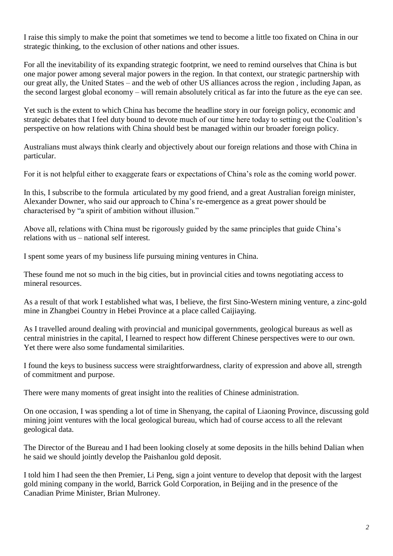I raise this simply to make the point that sometimes we tend to become a little too fixated on China in our strategic thinking, to the exclusion of other nations and other issues.

For all the inevitability of its expanding strategic footprint, we need to remind ourselves that China is but one major power among several major powers in the region. In that context, our strategic partnership with our great ally, the United States – and the web of other US alliances across the region , including Japan, as the second largest global economy – will remain absolutely critical as far into the future as the eye can see.

Yet such is the extent to which China has become the headline story in our foreign policy, economic and strategic debates that I feel duty bound to devote much of our time here today to setting out the Coalition's perspective on how relations with China should best be managed within our broader foreign policy.

Australians must always think clearly and objectively about our foreign relations and those with China in particular.

For it is not helpful either to exaggerate fears or expectations of China's role as the coming world power.

In this, I subscribe to the formula articulated by my good friend, and a great Australian foreign minister, Alexander Downer, who said our approach to China's re-emergence as a great power should be characterised by "a spirit of ambition without illusion."

Above all, relations with China must be rigorously guided by the same principles that guide China's relations with us – national self interest.

I spent some years of my business life pursuing mining ventures in China.

These found me not so much in the big cities, but in provincial cities and towns negotiating access to mineral resources.

As a result of that work I established what was, I believe, the first Sino-Western mining venture, a zinc-gold mine in Zhangbei Country in Hebei Province at a place called Caijiaying.

As I travelled around dealing with provincial and municipal governments, geological bureaus as well as central ministries in the capital, I learned to respect how different Chinese perspectives were to our own. Yet there were also some fundamental similarities.

I found the keys to business success were straightforwardness, clarity of expression and above all, strength of commitment and purpose.

There were many moments of great insight into the realities of Chinese administration.

On one occasion, I was spending a lot of time in Shenyang, the capital of Liaoning Province, discussing gold mining joint ventures with the local geological bureau, which had of course access to all the relevant geological data.

The Director of the Bureau and I had been looking closely at some deposits in the hills behind Dalian when he said we should jointly develop the Paishanlou gold deposit.

I told him I had seen the then Premier, Li Peng, sign a joint venture to develop that deposit with the largest gold mining company in the world, Barrick Gold Corporation, in Beijing and in the presence of the Canadian Prime Minister, Brian Mulroney.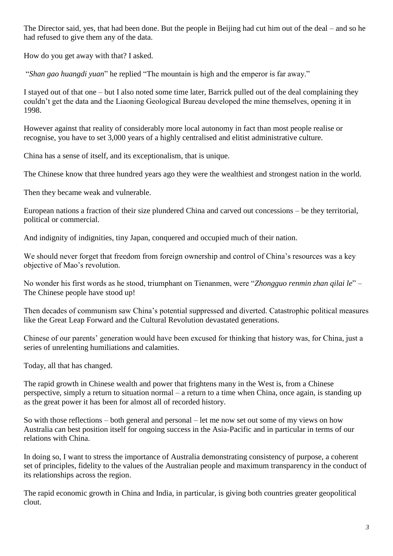The Director said, yes, that had been done. But the people in Beijing had cut him out of the deal – and so he had refused to give them any of the data.

How do you get away with that? I asked.

"*Shan gao huangdi yuan*" he replied "The mountain is high and the emperor is far away."

I stayed out of that one – but I also noted some time later, Barrick pulled out of the deal complaining they couldn't get the data and the Liaoning Geological Bureau developed the mine themselves, opening it in 1998.

However against that reality of considerably more local autonomy in fact than most people realise or recognise, you have to set 3,000 years of a highly centralised and elitist administrative culture.

China has a sense of itself, and its exceptionalism, that is unique.

The Chinese know that three hundred years ago they were the wealthiest and strongest nation in the world.

Then they became weak and vulnerable.

European nations a fraction of their size plundered China and carved out concessions – be they territorial, political or commercial.

And indignity of indignities, tiny Japan, conquered and occupied much of their nation.

We should never forget that freedom from foreign ownership and control of China's resources was a key objective of Mao's revolution.

No wonder his first words as he stood, triumphant on Tienanmen, were "*Zhongguo renmin zhan qilai le*" – The Chinese people have stood up!

Then decades of communism saw China's potential suppressed and diverted. Catastrophic political measures like the Great Leap Forward and the Cultural Revolution devastated generations.

Chinese of our parents' generation would have been excused for thinking that history was, for China, just a series of unrelenting humiliations and calamities.

Today, all that has changed.

The rapid growth in Chinese wealth and power that frightens many in the West is, from a Chinese perspective, simply a return to situation normal – a return to a time when China, once again, is standing up as the great power it has been for almost all of recorded history.

So with those reflections – both general and personal – let me now set out some of my views on how Australia can best position itself for ongoing success in the Asia-Pacific and in particular in terms of our relations with China.

In doing so, I want to stress the importance of Australia demonstrating consistency of purpose, a coherent set of principles, fidelity to the values of the Australian people and maximum transparency in the conduct of its relationships across the region.

The rapid economic growth in China and India, in particular, is giving both countries greater geopolitical clout.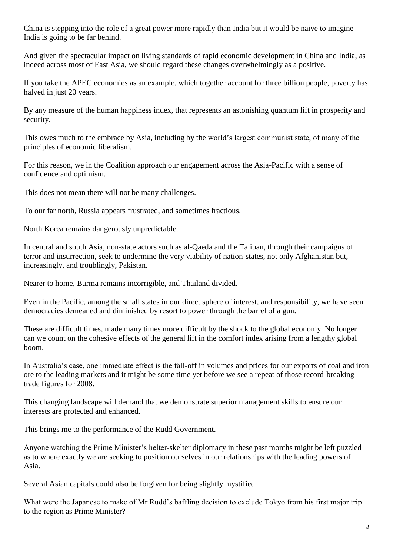China is stepping into the role of a great power more rapidly than India but it would be naive to imagine India is going to be far behind.

And given the spectacular impact on living standards of rapid economic development in China and India, as indeed across most of East Asia, we should regard these changes overwhelmingly as a positive.

If you take the APEC economies as an example, which together account for three billion people, poverty has halved in just 20 years.

By any measure of the human happiness index, that represents an astonishing quantum lift in prosperity and security.

This owes much to the embrace by Asia, including by the world's largest communist state, of many of the principles of economic liberalism.

For this reason, we in the Coalition approach our engagement across the Asia-Pacific with a sense of confidence and optimism.

This does not mean there will not be many challenges.

To our far north, Russia appears frustrated, and sometimes fractious.

North Korea remains dangerously unpredictable.

In central and south Asia, non-state actors such as al-Qaeda and the Taliban, through their campaigns of terror and insurrection, seek to undermine the very viability of nation-states, not only Afghanistan but, increasingly, and troublingly, Pakistan.

Nearer to home, Burma remains incorrigible, and Thailand divided.

Even in the Pacific, among the small states in our direct sphere of interest, and responsibility, we have seen democracies demeaned and diminished by resort to power through the barrel of a gun.

These are difficult times, made many times more difficult by the shock to the global economy. No longer can we count on the cohesive effects of the general lift in the comfort index arising from a lengthy global boom.

In Australia's case, one immediate effect is the fall-off in volumes and prices for our exports of coal and iron ore to the leading markets and it might be some time yet before we see a repeat of those record-breaking trade figures for 2008.

This changing landscape will demand that we demonstrate superior management skills to ensure our interests are protected and enhanced.

This brings me to the performance of the Rudd Government.

Anyone watching the Prime Minister's helter-skelter diplomacy in these past months might be left puzzled as to where exactly we are seeking to position ourselves in our relationships with the leading powers of Asia.

Several Asian capitals could also be forgiven for being slightly mystified.

What were the Japanese to make of Mr Rudd's baffling decision to exclude Tokyo from his first major trip to the region as Prime Minister?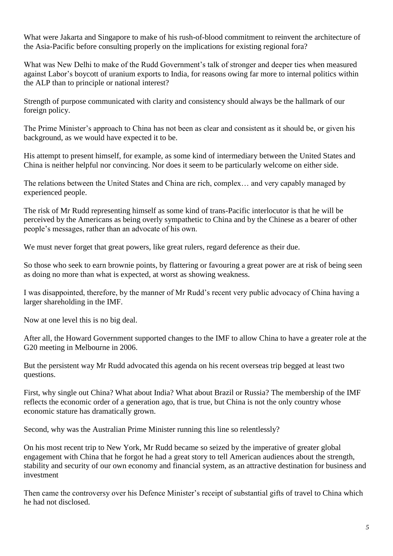What were Jakarta and Singapore to make of his rush-of-blood commitment to reinvent the architecture of the Asia-Pacific before consulting properly on the implications for existing regional fora?

What was New Delhi to make of the Rudd Government's talk of stronger and deeper ties when measured against Labor's boycott of uranium exports to India, for reasons owing far more to internal politics within the ALP than to principle or national interest?

Strength of purpose communicated with clarity and consistency should always be the hallmark of our foreign policy.

The Prime Minister's approach to China has not been as clear and consistent as it should be, or given his background, as we would have expected it to be.

His attempt to present himself, for example, as some kind of intermediary between the United States and China is neither helpful nor convincing. Nor does it seem to be particularly welcome on either side.

The relations between the United States and China are rich, complex… and very capably managed by experienced people.

The risk of Mr Rudd representing himself as some kind of trans-Pacific interlocutor is that he will be perceived by the Americans as being overly sympathetic to China and by the Chinese as a bearer of other people's messages, rather than an advocate of his own.

We must never forget that great powers, like great rulers, regard deference as their due.

So those who seek to earn brownie points, by flattering or favouring a great power are at risk of being seen as doing no more than what is expected, at worst as showing weakness.

I was disappointed, therefore, by the manner of Mr Rudd's recent very public advocacy of China having a larger shareholding in the IMF.

Now at one level this is no big deal.

After all, the Howard Government supported changes to the IMF to allow China to have a greater role at the G20 meeting in Melbourne in 2006.

But the persistent way Mr Rudd advocated this agenda on his recent overseas trip begged at least two questions.

First, why single out China? What about India? What about Brazil or Russia? The membership of the IMF reflects the economic order of a generation ago, that is true, but China is not the only country whose economic stature has dramatically grown.

Second, why was the Australian Prime Minister running this line so relentlessly?

On his most recent trip to New York, Mr Rudd became so seized by the imperative of greater global engagement with China that he forgot he had a great story to tell American audiences about the strength, stability and security of our own economy and financial system, as an attractive destination for business and investment

Then came the controversy over his Defence Minister's receipt of substantial gifts of travel to China which he had not disclosed.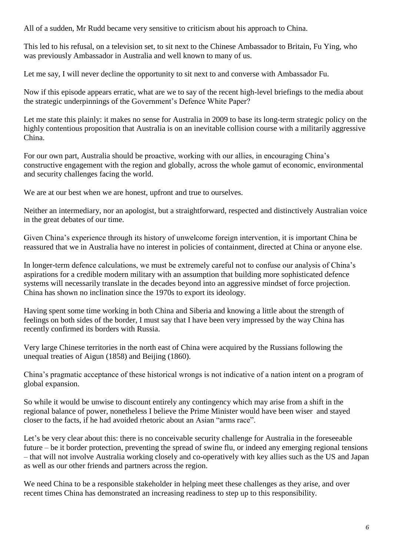All of a sudden, Mr Rudd became very sensitive to criticism about his approach to China.

This led to his refusal, on a television set, to sit next to the Chinese Ambassador to Britain, Fu Ying, who was previously Ambassador in Australia and well known to many of us.

Let me say, I will never decline the opportunity to sit next to and converse with Ambassador Fu.

Now if this episode appears erratic, what are we to say of the recent high-level briefings to the media about the strategic underpinnings of the Government's Defence White Paper?

Let me state this plainly: it makes no sense for Australia in 2009 to base its long-term strategic policy on the highly contentious proposition that Australia is on an inevitable collision course with a militarily aggressive China.

For our own part, Australia should be proactive, working with our allies, in encouraging China's constructive engagement with the region and globally, across the whole gamut of economic, environmental and security challenges facing the world.

We are at our best when we are honest, upfront and true to ourselves.

Neither an intermediary, nor an apologist, but a straightforward, respected and distinctively Australian voice in the great debates of our time.

Given China's experience through its history of unwelcome foreign intervention, it is important China be reassured that we in Australia have no interest in policies of containment, directed at China or anyone else.

In longer-term defence calculations, we must be extremely careful not to confuse our analysis of China's aspirations for a credible modern military with an assumption that building more sophisticated defence systems will necessarily translate in the decades beyond into an aggressive mindset of force projection. China has shown no inclination since the 1970s to export its ideology.

Having spent some time working in both China and Siberia and knowing a little about the strength of feelings on both sides of the border, I must say that I have been very impressed by the way China has recently confirmed its borders with Russia.

Very large Chinese territories in the north east of China were acquired by the Russians following the unequal treaties of Aigun (1858) and Beijing (1860).

China's pragmatic acceptance of these historical wrongs is not indicative of a nation intent on a program of global expansion.

So while it would be unwise to discount entirely any contingency which may arise from a shift in the regional balance of power, nonetheless I believe the Prime Minister would have been wiser and stayed closer to the facts, if he had avoided rhetoric about an Asian "arms race".

Let's be very clear about this: there is no conceivable security challenge for Australia in the foreseeable future – be it border protection, preventing the spread of swine flu, or indeed any emerging regional tensions – that will not involve Australia working closely and co-operatively with key allies such as the US and Japan as well as our other friends and partners across the region.

We need China to be a responsible stakeholder in helping meet these challenges as they arise, and over recent times China has demonstrated an increasing readiness to step up to this responsibility.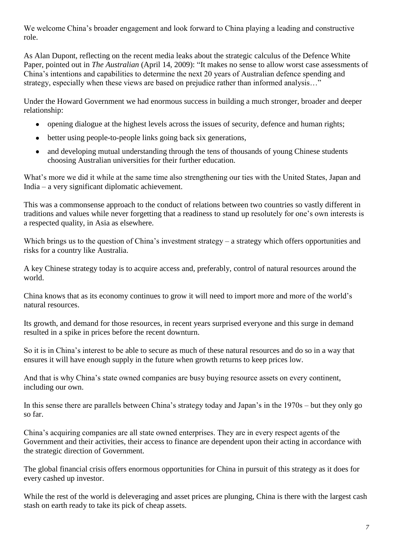We welcome China's broader engagement and look forward to China playing a leading and constructive role.

As Alan Dupont, reflecting on the recent media leaks about the strategic calculus of the Defence White Paper, pointed out in *The Australian* (April 14, 2009): "It makes no sense to allow worst case assessments of China's intentions and capabilities to determine the next 20 years of Australian defence spending and strategy, especially when these views are based on prejudice rather than informed analysis…"

Under the Howard Government we had enormous success in building a much stronger, broader and deeper relationship:

- opening dialogue at the highest levels across the issues of security, defence and human rights;  $\bullet$
- better using people-to-people links going back six generations,
- and developing mutual understanding through the tens of thousands of young Chinese students choosing Australian universities for their further education.

What's more we did it while at the same time also strengthening our ties with the United States, Japan and India – a very significant diplomatic achievement.

This was a commonsense approach to the conduct of relations between two countries so vastly different in traditions and values while never forgetting that a readiness to stand up resolutely for one's own interests is a respected quality, in Asia as elsewhere.

Which brings us to the question of China's investment strategy – a strategy which offers opportunities and risks for a country like Australia.

A key Chinese strategy today is to acquire access and, preferably, control of natural resources around the world.

China knows that as its economy continues to grow it will need to import more and more of the world's natural resources.

Its growth, and demand for those resources, in recent years surprised everyone and this surge in demand resulted in a spike in prices before the recent downturn.

So it is in China's interest to be able to secure as much of these natural resources and do so in a way that ensures it will have enough supply in the future when growth returns to keep prices low.

And that is why China's state owned companies are busy buying resource assets on every continent, including our own.

In this sense there are parallels between China's strategy today and Japan's in the 1970s – but they only go so far.

China's acquiring companies are all state owned enterprises. They are in every respect agents of the Government and their activities, their access to finance are dependent upon their acting in accordance with the strategic direction of Government.

The global financial crisis offers enormous opportunities for China in pursuit of this strategy as it does for every cashed up investor.

While the rest of the world is deleveraging and asset prices are plunging, China is there with the largest cash stash on earth ready to take its pick of cheap assets.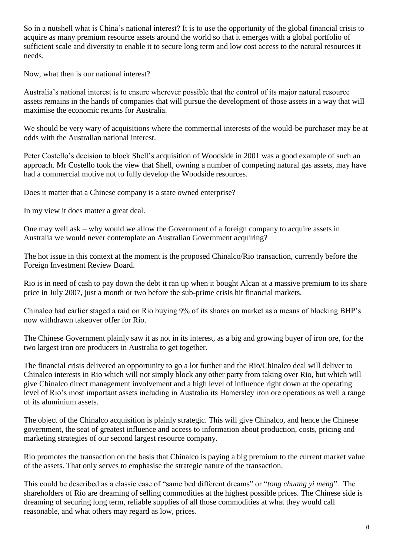So in a nutshell what is China's national interest? It is to use the opportunity of the global financial crisis to acquire as many premium resource assets around the world so that it emerges with a global portfolio of sufficient scale and diversity to enable it to secure long term and low cost access to the natural resources it needs.

Now, what then is our national interest?

Australia's national interest is to ensure wherever possible that the control of its major natural resource assets remains in the hands of companies that will pursue the development of those assets in a way that will maximise the economic returns for Australia.

We should be very wary of acquisitions where the commercial interests of the would-be purchaser may be at odds with the Australian national interest.

Peter Costello's decision to block Shell's acquisition of Woodside in 2001 was a good example of such an approach. Mr Costello took the view that Shell, owning a number of competing natural gas assets, may have had a commercial motive not to fully develop the Woodside resources.

Does it matter that a Chinese company is a state owned enterprise?

In my view it does matter a great deal.

One may well ask – why would we allow the Government of a foreign company to acquire assets in Australia we would never contemplate an Australian Government acquiring?

The hot issue in this context at the moment is the proposed Chinalco/Rio transaction, currently before the Foreign Investment Review Board.

Rio is in need of cash to pay down the debt it ran up when it bought Alcan at a massive premium to its share price in July 2007, just a month or two before the sub-prime crisis hit financial markets.

Chinalco had earlier staged a raid on Rio buying 9% of its shares on market as a means of blocking BHP's now withdrawn takeover offer for Rio.

The Chinese Government plainly saw it as not in its interest, as a big and growing buyer of iron ore, for the two largest iron ore producers in Australia to get together.

The financial crisis delivered an opportunity to go a lot further and the Rio/Chinalco deal will deliver to Chinalco interests in Rio which will not simply block any other party from taking over Rio, but which will give Chinalco direct management involvement and a high level of influence right down at the operating level of Rio's most important assets including in Australia its Hamersley iron ore operations as well a range of its aluminium assets.

The object of the Chinalco acquisition is plainly strategic. This will give Chinalco, and hence the Chinese government, the seat of greatest influence and access to information about production, costs, pricing and marketing strategies of our second largest resource company.

Rio promotes the transaction on the basis that Chinalco is paying a big premium to the current market value of the assets. That only serves to emphasise the strategic nature of the transaction.

This could be described as a classic case of "same bed different dreams" or "*tong chuang yi meng*". The shareholders of Rio are dreaming of selling commodities at the highest possible prices. The Chinese side is dreaming of securing long term, reliable supplies of all those commodities at what they would call reasonable, and what others may regard as low, prices.